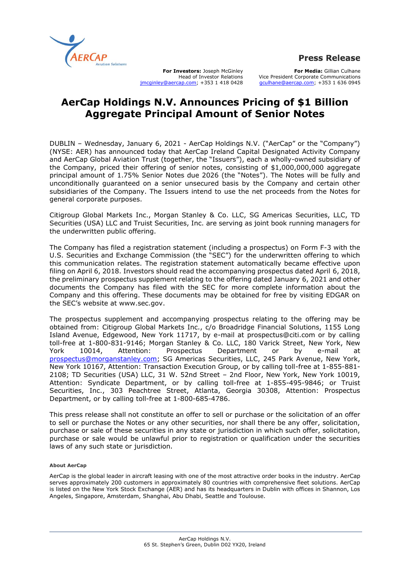

**For Investors:** Joseph McGinley Head of Investor Relations [jmcginley@aercap.com;](mailto:jmcginley@aercap.com) +353 1 418 0428

**For Media:** Gillian Culhane Vice President Corporate Communications [gculhane@aercap.com;](mailto:gculhane@aercap.com) +353 1 636 0945

## **AerCap Holdings N.V. Announces Pricing of \$1 Billion Aggregate Principal Amount of Senior Notes**

DUBLIN – Wednesday, January 6, 2021 - AerCap Holdings N.V. ("AerCap" or the "Company") (NYSE: AER) has announced today that AerCap Ireland Capital Designated Activity Company and AerCap Global Aviation Trust (together, the "Issuers"), each a wholly-owned subsidiary of the Company, priced their offering of senior notes, consisting of \$1,000,000,000 aggregate principal amount of 1.75% Senior Notes due 2026 (the "Notes"). The Notes will be fully and unconditionally guaranteed on a senior unsecured basis by the Company and certain other subsidiaries of the Company. The Issuers intend to use the net proceeds from the Notes for general corporate purposes.

Citigroup Global Markets Inc., Morgan Stanley & Co. LLC, SG Americas Securities, LLC, TD Securities (USA) LLC and Truist Securities, Inc. are serving as joint book running managers for the underwritten public offering.

The Company has filed a registration statement (including a prospectus) on Form F-3 with the U.S. Securities and Exchange Commission (the "SEC") for the underwritten offering to which this communication relates. The registration statement automatically became effective upon filing on April 6, 2018. Investors should read the accompanying prospectus dated April 6, 2018, the preliminary prospectus supplement relating to the offering dated January 6, 2021 and other documents the Company has filed with the SEC for more complete information about the Company and this offering. These documents may be obtained for free by visiting EDGAR on the SEC's website at www.sec.gov.

The prospectus supplement and accompanying prospectus relating to the offering may be obtained from: Citigroup Global Markets Inc., c/o Broadridge Financial Solutions, 1155 Long Island Avenue, Edgewood, New York 11717, by e-mail at prospectus@citi.com or by calling toll-free at 1-800-831-9146; Morgan Stanley & Co. LLC, 180 Varick Street, New York, New York 10014, Attention: Prospectus Department or by e-mail at [prospectus@morganstanley.com;](mailto:prospectus@morganstanley.com) SG Americas Securities, LLC, 245 Park Avenue, New York, New York 10167, Attention: Transaction Execution Group, or by calling toll-free at 1-855-881- 2108; TD Securities (USA) LLC, 31 W. 52nd Street – 2nd Floor, New York, New York 10019, Attention: Syndicate Department, or by calling toll-free at 1-855-495-9846; or Truist Securities, Inc., 303 Peachtree Street, Atlanta, Georgia 30308, Attention: Prospectus Department, or by calling toll-free at 1-800-685-4786.

This press release shall not constitute an offer to sell or purchase or the solicitation of an offer to sell or purchase the Notes or any other securities, nor shall there be any offer, solicitation, purchase or sale of these securities in any state or jurisdiction in which such offer, solicitation, purchase or sale would be unlawful prior to registration or qualification under the securities laws of any such state or jurisdiction.

## **About AerCap**

AerCap is the global leader in aircraft leasing with one of the most attractive order books in the industry. AerCap serves approximately 200 customers in approximately 80 countries with comprehensive fleet solutions. AerCap is listed on the New York Stock Exchange (AER) and has its headquarters in Dublin with offices in Shannon, Los Angeles, Singapore, Amsterdam, Shanghai, Abu Dhabi, Seattle and Toulouse.